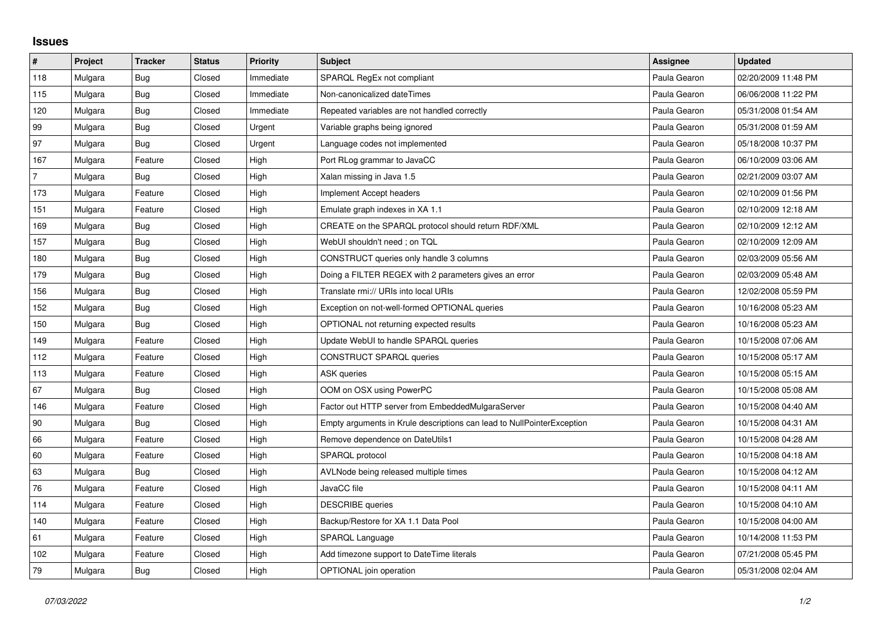## **Issues**

| $\pmb{\sharp}$ | Project | <b>Tracker</b> | <b>Status</b> | <b>Priority</b> | <b>Subject</b>                                                         | <b>Assignee</b> | <b>Updated</b>      |
|----------------|---------|----------------|---------------|-----------------|------------------------------------------------------------------------|-----------------|---------------------|
| 118            | Mulgara | Bug            | Closed        | Immediate       | SPARQL RegEx not compliant                                             | Paula Gearon    | 02/20/2009 11:48 PM |
| 115            | Mulgara | Bug            | Closed        | Immediate       | Non-canonicalized dateTimes                                            | Paula Gearon    | 06/06/2008 11:22 PM |
| 120            | Mulgara | <b>Bug</b>     | Closed        | Immediate       | Repeated variables are not handled correctly                           | Paula Gearon    | 05/31/2008 01:54 AM |
| 99             | Mulgara | <b>Bug</b>     | Closed        | Urgent          | Variable graphs being ignored                                          | Paula Gearon    | 05/31/2008 01:59 AM |
| 97             | Mulgara | <b>Bug</b>     | Closed        | Urgent          | Language codes not implemented                                         | Paula Gearon    | 05/18/2008 10:37 PM |
| 167            | Mulgara | Feature        | Closed        | High            | Port RLog grammar to JavaCC                                            | Paula Gearon    | 06/10/2009 03:06 AM |
| $\overline{7}$ | Mulgara | Bug            | Closed        | High            | Xalan missing in Java 1.5                                              | Paula Gearon    | 02/21/2009 03:07 AM |
| 173            | Mulgara | Feature        | Closed        | High            | Implement Accept headers                                               | Paula Gearon    | 02/10/2009 01:56 PM |
| 151            | Mulgara | Feature        | Closed        | High            | Emulate graph indexes in XA 1.1                                        | Paula Gearon    | 02/10/2009 12:18 AM |
| 169            | Mulgara | <b>Bug</b>     | Closed        | High            | CREATE on the SPARQL protocol should return RDF/XML                    | Paula Gearon    | 02/10/2009 12:12 AM |
| 157            | Mulgara | <b>Bug</b>     | Closed        | High            | WebUI shouldn't need; on TQL                                           | Paula Gearon    | 02/10/2009 12:09 AM |
| 180            | Mulgara | <b>Bug</b>     | Closed        | High            | CONSTRUCT queries only handle 3 columns                                | Paula Gearon    | 02/03/2009 05:56 AM |
| 179            | Mulgara | <b>Bug</b>     | Closed        | High            | Doing a FILTER REGEX with 2 parameters gives an error                  | Paula Gearon    | 02/03/2009 05:48 AM |
| 156            | Mulgara | Bug            | Closed        | High            | Translate rmi:// URIs into local URIs                                  | Paula Gearon    | 12/02/2008 05:59 PM |
| 152            | Mulgara | Bug            | Closed        | High            | Exception on not-well-formed OPTIONAL queries                          | Paula Gearon    | 10/16/2008 05:23 AM |
| 150            | Mulgara | Bug            | Closed        | High            | OPTIONAL not returning expected results                                | Paula Gearon    | 10/16/2008 05:23 AM |
| 149            | Mulgara | Feature        | Closed        | High            | Update WebUI to handle SPARQL queries                                  | Paula Gearon    | 10/15/2008 07:06 AM |
| 112            | Mulgara | Feature        | Closed        | High            | CONSTRUCT SPARQL queries                                               | Paula Gearon    | 10/15/2008 05:17 AM |
| 113            | Mulgara | Feature        | Closed        | High            | <b>ASK</b> queries                                                     | Paula Gearon    | 10/15/2008 05:15 AM |
| 67             | Mulgara | Bug            | Closed        | High            | OOM on OSX using PowerPC                                               | Paula Gearon    | 10/15/2008 05:08 AM |
| 146            | Mulgara | Feature        | Closed        | High            | Factor out HTTP server from EmbeddedMulgaraServer                      | Paula Gearon    | 10/15/2008 04:40 AM |
| 90             | Mulgara | <b>Bug</b>     | Closed        | High            | Empty arguments in Krule descriptions can lead to NullPointerException | Paula Gearon    | 10/15/2008 04:31 AM |
| 66             | Mulgara | Feature        | Closed        | High            | Remove dependence on DateUtils1                                        | Paula Gearon    | 10/15/2008 04:28 AM |
| 60             | Mulgara | Feature        | Closed        | High            | SPARQL protocol                                                        | Paula Gearon    | 10/15/2008 04:18 AM |
| 63             | Mulgara | Bug            | Closed        | High            | AVLNode being released multiple times                                  | Paula Gearon    | 10/15/2008 04:12 AM |
| 76             | Mulgara | Feature        | Closed        | High            | JavaCC file                                                            | Paula Gearon    | 10/15/2008 04:11 AM |
| 114            | Mulgara | Feature        | Closed        | High            | <b>DESCRIBE</b> queries                                                | Paula Gearon    | 10/15/2008 04:10 AM |
| 140            | Mulgara | Feature        | Closed        | High            | Backup/Restore for XA 1.1 Data Pool                                    | Paula Gearon    | 10/15/2008 04:00 AM |
| 61             | Mulgara | Feature        | Closed        | High            | SPARQL Language                                                        | Paula Gearon    | 10/14/2008 11:53 PM |
| 102            | Mulgara | Feature        | Closed        | High            | Add timezone support to DateTime literals                              | Paula Gearon    | 07/21/2008 05:45 PM |
| 79             | Mulgara | <b>Bug</b>     | Closed        | High            | OPTIONAL join operation                                                | Paula Gearon    | 05/31/2008 02:04 AM |